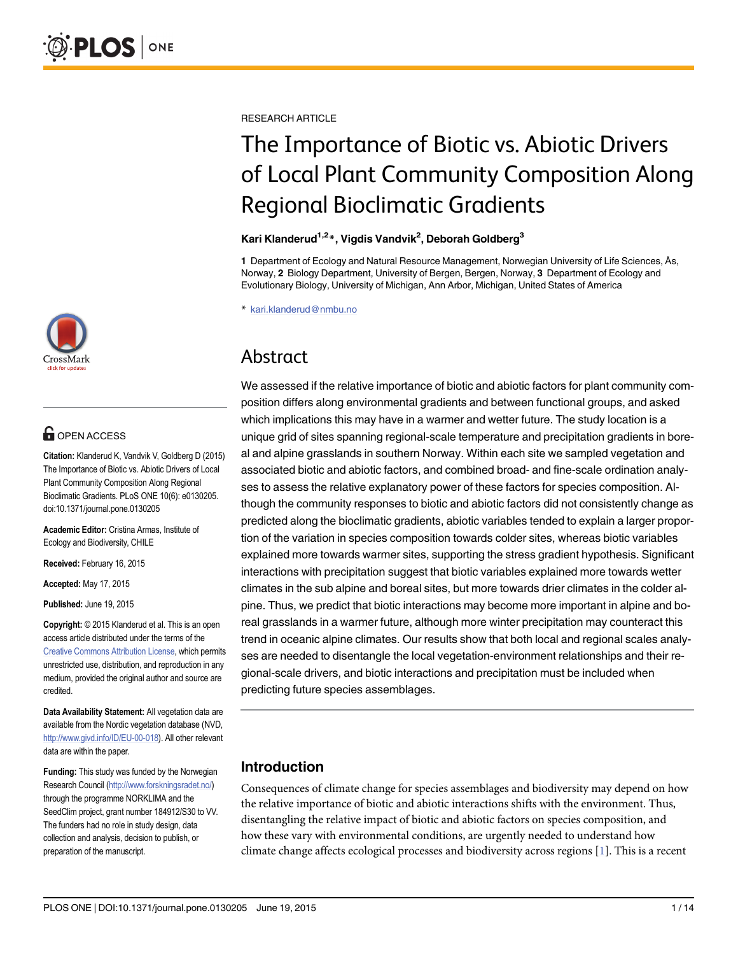

# **G** OPEN ACCESS

Citation: Klanderud K, Vandvik V, Goldberg D (2015) The Importance of Biotic vs. Abiotic Drivers of Local Plant Community Composition Along Regional Bioclimatic Gradients. PLoS ONE 10(6): e0130205. doi:10.1371/journal.pone.0130205

Academic Editor: Cristina Armas, Institute of Ecology and Biodiversity, CHILE

Received: February 16, 2015

Accepted: May 17, 2015

Published: June 19, 2015

Copyright: © 2015 Klanderud et al. This is an open access article distributed under the terms of the [Creative Commons Attribution License,](http://creativecommons.org/licenses/by/4.0/) which permits unrestricted use, distribution, and reproduction in any medium, provided the original author and source are credited.

Data Availability Statement: All vegetation data are available from the Nordic vegetation database (NVD, <http://www.givd.info/ID/EU-00-018>). All other relevant data are within the paper.

Funding: This study was funded by the Norwegian Research Council [\(http://www.forskningsradet.no/\)](http://www.forskningsradet.no/) through the programme NORKLIMA and the SeedClim project, grant number 184912/S30 to VV. The funders had no role in study design, data collection and analysis, decision to publish, or preparation of the manuscript.

<span id="page-0-0"></span>RESEARCH ARTICLE

# The Importance of Biotic vs. Abiotic Drivers of Local Plant Community Composition Along Regional Bioclimatic Gradients

#### Kari Klanderud<sup>1,2</sup>\*, Vigdis Vandvik<sup>2</sup>, Deborah Goldberg<sup>3</sup>

1 Department of Ecology and Natural Resource Management, Norwegian University of Life Sciences, Ås, Norway, 2 Biology Department, University of Bergen, Bergen, Norway, 3 Department of Ecology and Evolutionary Biology, University of Michigan, Ann Arbor, Michigan, United States of America

\* kari.klanderud@nmbu.no

# Abstract

We assessed if the relative importance of biotic and abiotic factors for plant community composition differs along environmental gradients and between functional groups, and asked which implications this may have in a warmer and wetter future. The study location is a unique grid of sites spanning regional-scale temperature and precipitation gradients in boreal and alpine grasslands in southern Norway. Within each site we sampled vegetation and associated biotic and abiotic factors, and combined broad- and fine-scale ordination analyses to assess the relative explanatory power of these factors for species composition. Although the community responses to biotic and abiotic factors did not consistently change as predicted along the bioclimatic gradients, abiotic variables tended to explain a larger proportion of the variation in species composition towards colder sites, whereas biotic variables explained more towards warmer sites, supporting the stress gradient hypothesis. Significant interactions with precipitation suggest that biotic variables explained more towards wetter climates in the sub alpine and boreal sites, but more towards drier climates in the colder alpine. Thus, we predict that biotic interactions may become more important in alpine and boreal grasslands in a warmer future, although more winter precipitation may counteract this trend in oceanic alpine climates. Our results show that both local and regional scales analyses are needed to disentangle the local vegetation-environment relationships and their regional-scale drivers, and biotic interactions and precipitation must be included when predicting future species assemblages.

## Introduction

Consequences of climate change for species assemblages and biodiversity may depend on how the relative importance of biotic and abiotic interactions shifts with the environment. Thus, disentangling the relative impact of biotic and abiotic factors on species composition, and how these vary with environmental conditions, are urgently needed to understand how climate change affects ecological processes and biodiversity across regions [\[1](#page-11-0)]. This is a recent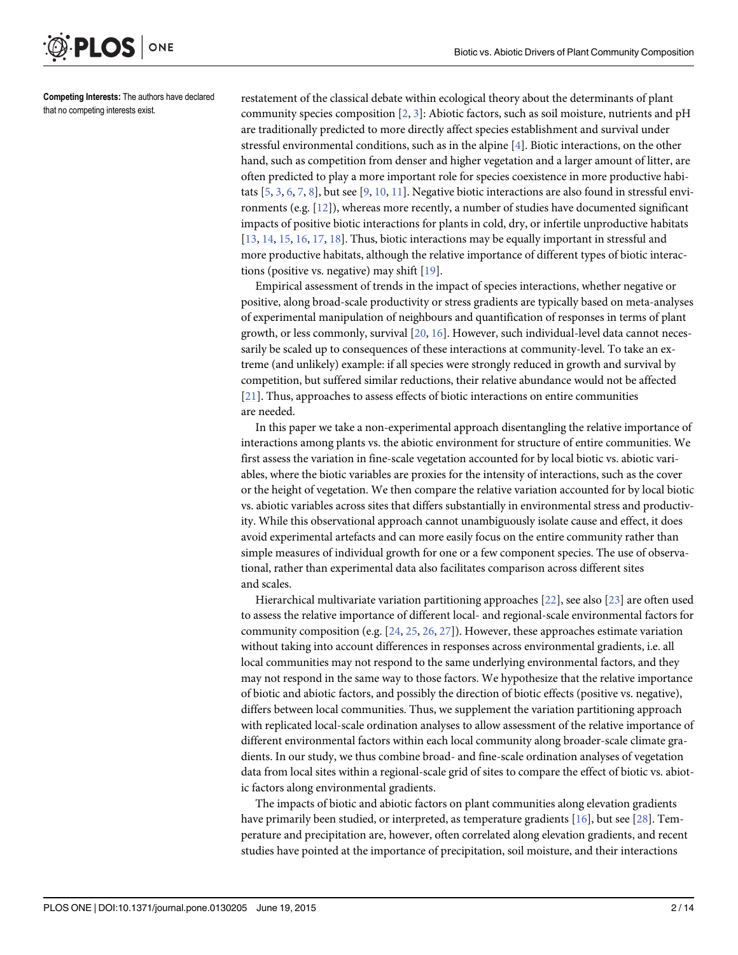<span id="page-1-0"></span>

Competing Interests: The authors have declared that no competing interests exist.

restatement of the classical debate within ecological theory about the determinants of plant community species composition  $[2, 3]$  $[2, 3]$  $[2, 3]$  $[2, 3]$ : Abiotic factors, such as soil moisture, nutrients and pH are traditionally predicted to more directly affect species establishment and survival under stressful environmental conditions, such as in the alpine  $[4]$  $[4]$ . Biotic interactions, on the other hand, such as competition from denser and higher vegetation and a larger amount of litter, are often predicted to play a more important role for species coexistence in more productive habitats  $[5, 3, 6, 7, 8]$  $[5, 3, 6, 7, 8]$  $[5, 3, 6, 7, 8]$  $[5, 3, 6, 7, 8]$  $[5, 3, 6, 7, 8]$  $[5, 3, 6, 7, 8]$  $[5, 3, 6, 7, 8]$  $[5, 3, 6, 7, 8]$  $[5, 3, 6, 7, 8]$  $[5, 3, 6, 7, 8]$ , but see  $[9, 10, 11]$  $[9, 10, 11]$  $[9, 10, 11]$  $[9, 10, 11]$  $[9, 10, 11]$  $[9, 10, 11]$  $[9, 10, 11]$ . Negative biotic interactions are also found in stressful environments (e.g. [[12](#page-11-0)]), whereas more recently, a number of studies have documented significant impacts of positive biotic interactions for plants in cold, dry, or infertile unproductive habitats [\[13](#page-11-0), [14,](#page-11-0) [15](#page-11-0), [16](#page-11-0), [17,](#page-11-0) [18\]](#page-11-0). Thus, biotic interactions may be equally important in stressful and more productive habitats, although the relative importance of different types of biotic interactions (positive vs. negative) may shift [\[19\]](#page-11-0).

Empirical assessment of trends in the impact of species interactions, whether negative or positive, along broad-scale productivity or stress gradients are typically based on meta-analyses of experimental manipulation of neighbours and quantification of responses in terms of plant growth, or less commonly, survival [[20,](#page-11-0) [16\]](#page-11-0). However, such individual-level data cannot necessarily be scaled up to consequences of these interactions at community-level. To take an extreme (and unlikely) example: if all species were strongly reduced in growth and survival by competition, but suffered similar reductions, their relative abundance would not be affected [\[21](#page-11-0)]. Thus, approaches to assess effects of biotic interactions on entire communities are needed.

In this paper we take a non-experimental approach disentangling the relative importance of interactions among plants vs. the abiotic environment for structure of entire communities. We first assess the variation in fine-scale vegetation accounted for by local biotic vs. abiotic variables, where the biotic variables are proxies for the intensity of interactions, such as the cover or the height of vegetation. We then compare the relative variation accounted for by local biotic vs. abiotic variables across sites that differs substantially in environmental stress and productivity. While this observational approach cannot unambiguously isolate cause and effect, it does avoid experimental artefacts and can more easily focus on the entire community rather than simple measures of individual growth for one or a few component species. The use of observational, rather than experimental data also facilitates comparison across different sites and scales.

Hierarchical multivariate variation partitioning approaches  $[22]$ , see also  $[23]$  are often used to assess the relative importance of different local- and regional-scale environmental factors for community composition (e.g.  $[24, 25, 26, 27]$  $[24, 25, 26, 27]$  $[24, 25, 26, 27]$  $[24, 25, 26, 27]$  $[24, 25, 26, 27]$  $[24, 25, 26, 27]$  $[24, 25, 26, 27]$  $[24, 25, 26, 27]$  $[24, 25, 26, 27]$ ). However, these approaches estimate variation without taking into account differences in responses across environmental gradients, i.e. all local communities may not respond to the same underlying environmental factors, and they may not respond in the same way to those factors. We hypothesize that the relative importance of biotic and abiotic factors, and possibly the direction of biotic effects (positive vs. negative), differs between local communities. Thus, we supplement the variation partitioning approach with replicated local-scale ordination analyses to allow assessment of the relative importance of different environmental factors within each local community along broader-scale climate gradients. In our study, we thus combine broad- and fine-scale ordination analyses of vegetation data from local sites within a regional-scale grid of sites to compare the effect of biotic vs. abiotic factors along environmental gradients.

The impacts of biotic and abiotic factors on plant communities along elevation gradients have primarily been studied, or interpreted, as temperature gradients [[16](#page-11-0)], but see [\[28\]](#page-12-0). Temperature and precipitation are, however, often correlated along elevation gradients, and recent studies have pointed at the importance of precipitation, soil moisture, and their interactions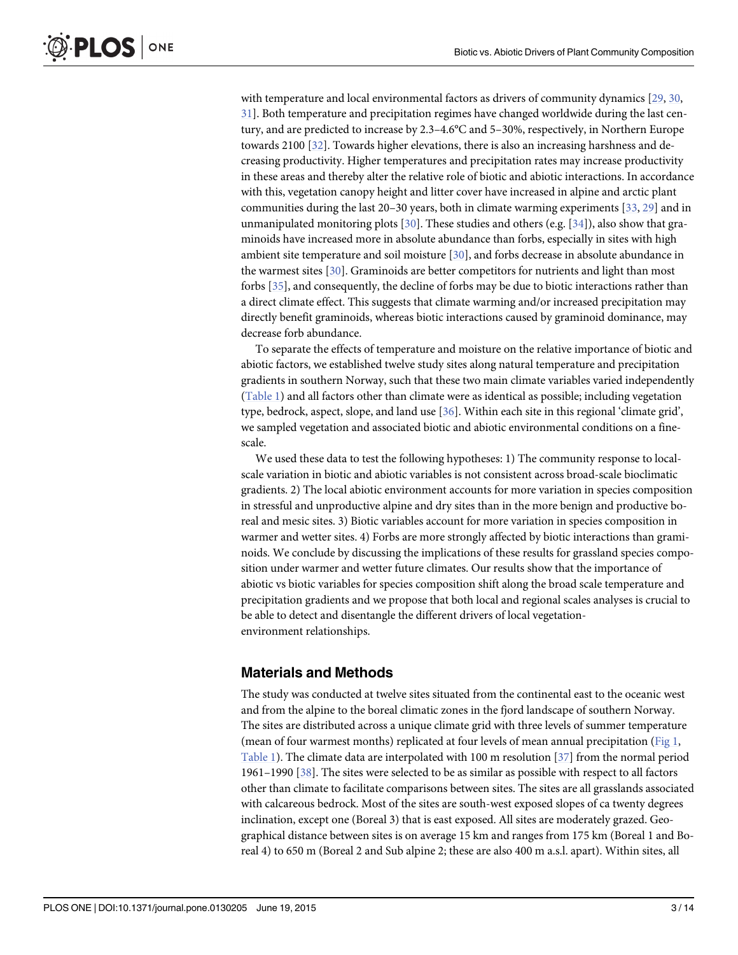<span id="page-2-0"></span>with temperature and local environmental factors as drivers of community dynamics [[29,](#page-12-0) [30,](#page-12-0) [31\]](#page-12-0). Both temperature and precipitation regimes have changed worldwide during the last century, and are predicted to increase by 2.3–4.6°C and 5–30%, respectively, in Northern Europe towards 2100 [[32](#page-12-0)]. Towards higher elevations, there is also an increasing harshness and decreasing productivity. Higher temperatures and precipitation rates may increase productivity in these areas and thereby alter the relative role of biotic and abiotic interactions. In accordance with this, vegetation canopy height and litter cover have increased in alpine and arctic plant communities during the last 20–30 years, both in climate warming experiments [\[33,](#page-12-0) [29\]](#page-12-0) and in unmanipulated monitoring plots [[30](#page-12-0)]. These studies and others (e.g. [\[34\]](#page-12-0)), also show that graminoids have increased more in absolute abundance than forbs, especially in sites with high ambient site temperature and soil moisture [[30](#page-12-0)], and forbs decrease in absolute abundance in the warmest sites [\[30](#page-12-0)]. Graminoids are better competitors for nutrients and light than most forbs [[35](#page-12-0)], and consequently, the decline of forbs may be due to biotic interactions rather than a direct climate effect. This suggests that climate warming and/or increased precipitation may directly benefit graminoids, whereas biotic interactions caused by graminoid dominance, may decrease forb abundance.

To separate the effects of temperature and moisture on the relative importance of biotic and abiotic factors, we established twelve study sites along natural temperature and precipitation gradients in southern Norway, such that these two main climate variables varied independently [\(Table 1\)](#page-3-0) and all factors other than climate were as identical as possible; including vegetation type, bedrock, aspect, slope, and land use [\[36](#page-12-0)]. Within each site in this regional 'climate grid', we sampled vegetation and associated biotic and abiotic environmental conditions on a finescale.

We used these data to test the following hypotheses: 1) The community response to localscale variation in biotic and abiotic variables is not consistent across broad-scale bioclimatic gradients. 2) The local abiotic environment accounts for more variation in species composition in stressful and unproductive alpine and dry sites than in the more benign and productive boreal and mesic sites. 3) Biotic variables account for more variation in species composition in warmer and wetter sites. 4) Forbs are more strongly affected by biotic interactions than graminoids. We conclude by discussing the implications of these results for grassland species composition under warmer and wetter future climates. Our results show that the importance of abiotic vs biotic variables for species composition shift along the broad scale temperature and precipitation gradients and we propose that both local and regional scales analyses is crucial to be able to detect and disentangle the different drivers of local vegetationenvironment relationships.

#### Materials and Methods

The study was conducted at twelve sites situated from the continental east to the oceanic west and from the alpine to the boreal climatic zones in the fjord landscape of southern Norway. The sites are distributed across a unique climate grid with three levels of summer temperature (mean of four warmest months) replicated at four levels of mean annual precipitation [\(Fig 1,](#page-3-0) [Table 1](#page-3-0)). The climate data are interpolated with 100 m resolution [[37\]](#page-12-0) from the normal period 1961–1990 [\[38\]](#page-12-0). The sites were selected to be as similar as possible with respect to all factors other than climate to facilitate comparisons between sites. The sites are all grasslands associated with calcareous bedrock. Most of the sites are south-west exposed slopes of ca twenty degrees inclination, except one (Boreal 3) that is east exposed. All sites are moderately grazed. Geographical distance between sites is on average 15 km and ranges from 175 km (Boreal 1 and Boreal 4) to 650 m (Boreal 2 and Sub alpine 2; these are also 400 m a.s.l. apart). Within sites, all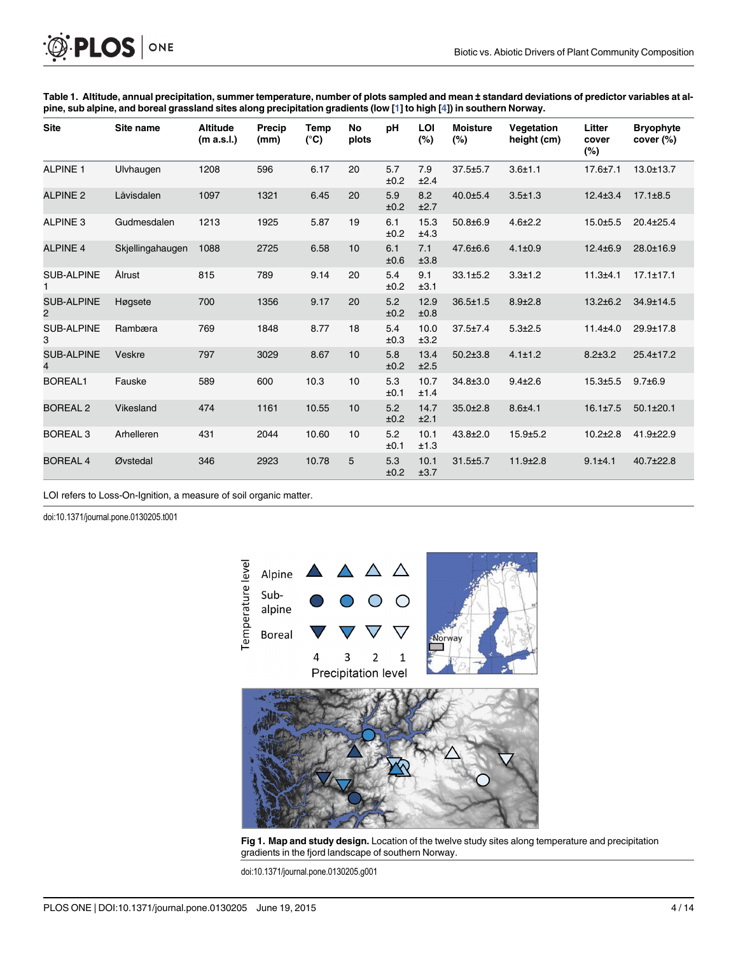<span id="page-3-0"></span>

[Table 1.](#page-2-0) Altitude, annual precipitation, summer temperature, number of plots sampled and mean ± standard deviations of predictor variables at al-pine, sub alpine, and boreal grassland sites along precipitation gradients (low [[1\]](#page-11-0) to high [\[4\]](#page-11-0)) in southern Norway.

| <b>Site</b>                         | Site name        | <b>Altitude</b><br>(m a.s.l.) | Precip<br>(mm) | Temp<br>$(^{\circ}C)$ | No<br>plots | pH          | LOI<br>(%)   | <b>Moisture</b><br>$(\%)$ | Vegetation<br>height (cm) | Litter<br>cover<br>$(\%)$ | <b>Bryophyte</b><br>cover (%) |
|-------------------------------------|------------------|-------------------------------|----------------|-----------------------|-------------|-------------|--------------|---------------------------|---------------------------|---------------------------|-------------------------------|
| <b>ALPINE 1</b>                     | Ulvhaugen        | 1208                          | 596            | 6.17                  | 20          | 5.7<br>±0.2 | 7.9<br>±2.4  | $37.5 \pm 5.7$            | $3.6 + 1.1$               | $17.6 \pm 7.1$            | $13.0 \pm 13.7$               |
| <b>ALPINE 2</b>                     | Låvisdalen       | 1097                          | 1321           | 6.45                  | 20          | 5.9<br>±0.2 | 8.2<br>±2.7  | $40.0 \pm 5.4$            | $3.5 + 1.3$               | $12.4 \pm 3.4$            | $17.1 \pm 8.5$                |
| <b>ALPINE 3</b>                     | Gudmesdalen      | 1213                          | 1925           | 5.87                  | 19          | 6.1<br>±0.2 | 15.3<br>±4.3 | $50.8 \pm 6.9$            | $4.6 \pm 2.2$             | $15.0 + 5.5$              | $20.4 \pm 25.4$               |
| <b>ALPINE 4</b>                     | Skjellingahaugen | 1088                          | 2725           | 6.58                  | 10          | 6.1<br>±0.6 | 7.1<br>±3.8  | 47.6±6.6                  | $4.1 \pm 0.9$             | $12.4 \pm 6.9$            | 28.0±16.9                     |
| <b>SUB-ALPINE</b>                   | Ålrust           | 815                           | 789            | 9.14                  | 20          | 5.4<br>±0.2 | 9.1<br>±3.1  | $33.1 \pm 5.2$            | $3.3 + 1.2$               | $11.3 + 4.1$              | $17.1 \pm 17.1$               |
| <b>SUB-ALPINE</b><br>$\overline{2}$ | Høgsete          | 700                           | 1356           | 9.17                  | 20          | 5.2<br>±0.2 | 12.9<br>±0.8 | $36.5 \pm 1.5$            | $8.9{\pm}2.8$             | $13.2 + 6.2$              | 34.9±14.5                     |
| <b>SUB-ALPINE</b><br>3              | Rambæra          | 769                           | 1848           | 8.77                  | 18          | 5.4<br>±0.3 | 10.0<br>±3.2 | $37.5 \pm 7.4$            | $5.3 + 2.5$               | $11.4 + 4.0$              | 29.9±17.8                     |
| <b>SUB-ALPINE</b><br>$\overline{4}$ | Veskre           | 797                           | 3029           | 8.67                  | 10          | 5.8<br>±0.2 | 13.4<br>±2.5 | $50.2 \pm 3.8$            | $4.1 \pm 1.2$             | $8.2 \pm 3.2$             | $25.4 \pm 17.2$               |
| <b>BOREAL1</b>                      | Fauske           | 589                           | 600            | 10.3                  | 10          | 5.3<br>±0.1 | 10.7<br>±1.4 | 34.8±3.0                  | $9.4 + 2.6$               | $15.3 \pm 5.5$            | $9.7 \pm 6.9$                 |
| <b>BOREAL 2</b>                     | Vikesland        | 474                           | 1161           | 10.55                 | 10          | 5.2<br>±0.2 | 14.7<br>±2.1 | $35.0 \pm 2.8$            | $8.6 + 4.1$               | $16.1 \pm 7.5$            | $50.1 \pm 20.1$               |
| <b>BOREAL 3</b>                     | Arhelleren       | 431                           | 2044           | 10.60                 | 10          | 5.2<br>±0.1 | 10.1<br>±1.3 | $43.8 \pm 2.0$            | $15.9 \pm 5.2$            | $10.2{\pm}2.8$            | 41.9±22.9                     |
| <b>BOREAL 4</b>                     | Øvstedal         | 346                           | 2923           | 10.78                 | 5           | 5.3<br>±0.2 | 10.1<br>±3.7 | $31.5 \pm 5.7$            | $11.9 \pm 2.8$            | $9.1 + 4.1$               | $40.7 \pm 22.8$               |

LOI refers to Loss-On-Ignition, a measure of soil organic matter.

doi:10.1371/journal.pone.0130205.t001



[Fig 1. M](#page-2-0)ap and study design. Location of the twelve study sites along temperature and precipitation gradients in the fjord landscape of southern Norway.

doi:10.1371/journal.pone.0130205.g001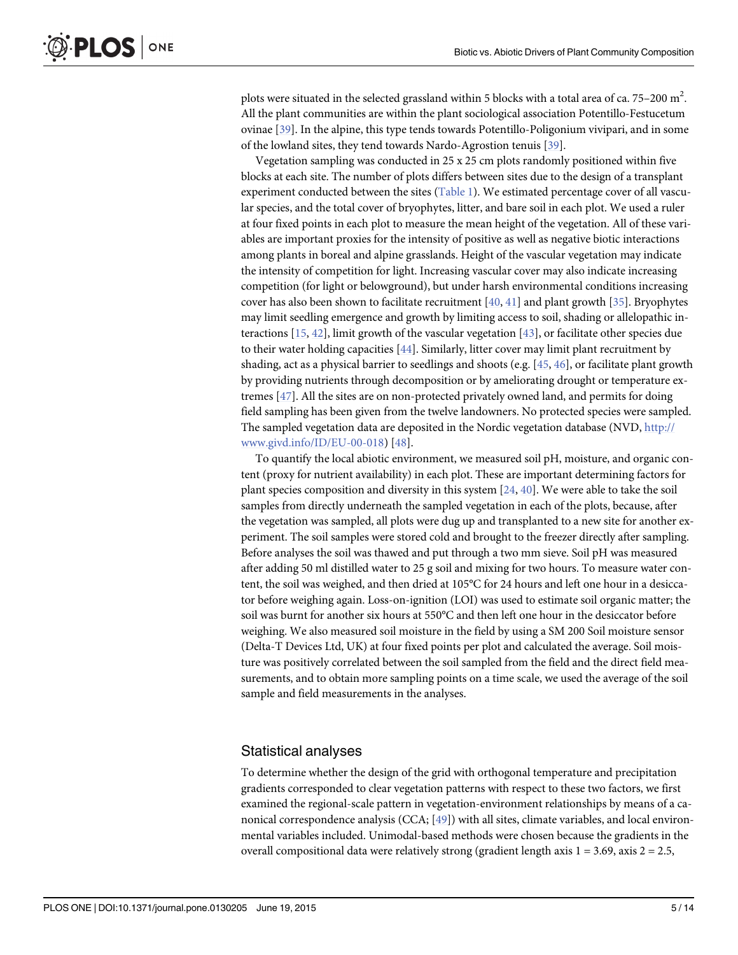<span id="page-4-0"></span>plots were situated in the selected grassland within 5 blocks with a total area of ca. 75–200  $\mathrm{m}^2$ . All the plant communities are within the plant sociological association Potentillo-Festucetum ovinae [[39](#page-12-0)]. In the alpine, this type tends towards Potentillo-Poligonium vivipari, and in some of the lowland sites, they tend towards Nardo-Agrostion tenuis [[39](#page-12-0)].

Vegetation sampling was conducted in 25 x 25 cm plots randomly positioned within five blocks at each site. The number of plots differs between sites due to the design of a transplant experiment conducted between the sites ([Table 1\)](#page-3-0). We estimated percentage cover of all vascular species, and the total cover of bryophytes, litter, and bare soil in each plot. We used a ruler at four fixed points in each plot to measure the mean height of the vegetation. All of these variables are important proxies for the intensity of positive as well as negative biotic interactions among plants in boreal and alpine grasslands. Height of the vascular vegetation may indicate the intensity of competition for light. Increasing vascular cover may also indicate increasing competition (for light or belowground), but under harsh environmental conditions increasing cover has also been shown to facilitate recruitment  $[40, 41]$  $[40, 41]$  $[40, 41]$  $[40, 41]$  and plant growth  $[35]$  $[35]$  $[35]$ . Bryophytes may limit seedling emergence and growth by limiting access to soil, shading or allelopathic interactions [[15](#page-11-0), [42](#page-12-0)], limit growth of the vascular vegetation [[43\]](#page-12-0), or facilitate other species due to their water holding capacities [\[44\]](#page-12-0). Similarly, litter cover may limit plant recruitment by shading, act as a physical barrier to seedlings and shoots (e.g.  $[45, 46]$  $[45, 46]$  $[45, 46]$  $[45, 46]$  $[45, 46]$ , or facilitate plant growth by providing nutrients through decomposition or by ameliorating drought or temperature extremes [\[47](#page-12-0)]. All the sites are on non-protected privately owned land, and permits for doing field sampling has been given from the twelve landowners. No protected species were sampled. The sampled vegetation data are deposited in the Nordic vegetation database (NVD, [http://](http://www.givd.info/ID/EU-00-018) [www.givd.info/ID/EU-00-018\)](http://www.givd.info/ID/EU-00-018) [[48](#page-12-0)].

To quantify the local abiotic environment, we measured soil pH, moisture, and organic content (proxy for nutrient availability) in each plot. These are important determining factors for plant species composition and diversity in this system  $[24, 40]$  $[24, 40]$  $[24, 40]$  $[24, 40]$ . We were able to take the soil samples from directly underneath the sampled vegetation in each of the plots, because, after the vegetation was sampled, all plots were dug up and transplanted to a new site for another experiment. The soil samples were stored cold and brought to the freezer directly after sampling. Before analyses the soil was thawed and put through a two mm sieve. Soil pH was measured after adding 50 ml distilled water to 25 g soil and mixing for two hours. To measure water content, the soil was weighed, and then dried at 105°C for 24 hours and left one hour in a desiccator before weighing again. Loss-on-ignition (LOI) was used to estimate soil organic matter; the soil was burnt for another six hours at 550°C and then left one hour in the desiccator before weighing. We also measured soil moisture in the field by using a SM 200 Soil moisture sensor (Delta-T Devices Ltd, UK) at four fixed points per plot and calculated the average. Soil moisture was positively correlated between the soil sampled from the field and the direct field measurements, and to obtain more sampling points on a time scale, we used the average of the soil sample and field measurements in the analyses.

#### Statistical analyses

To determine whether the design of the grid with orthogonal temperature and precipitation gradients corresponded to clear vegetation patterns with respect to these two factors, we first examined the regional-scale pattern in vegetation-environment relationships by means of a canonical correspondence analysis (CCA; [[49](#page-12-0)]) with all sites, climate variables, and local environmental variables included. Unimodal-based methods were chosen because the gradients in the overall compositional data were relatively strong (gradient length axis  $1 = 3.69$ , axis  $2 = 2.5$ ,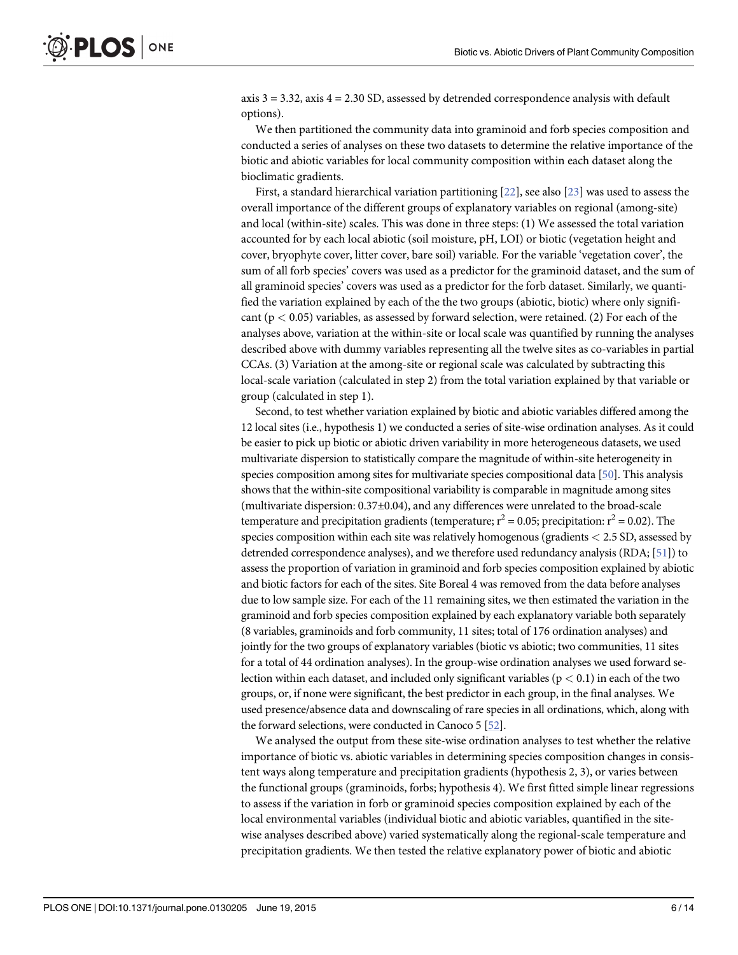<span id="page-5-0"></span>axis  $3 = 3.32$ , axis  $4 = 2.30$  SD, assessed by detrended correspondence analysis with default options).

We then partitioned the community data into graminoid and forb species composition and conducted a series of analyses on these two datasets to determine the relative importance of the biotic and abiotic variables for local community composition within each dataset along the bioclimatic gradients.

First, a standard hierarchical variation partitioning [\[22\]](#page-11-0), see also [\[23\]](#page-11-0) was used to assess the overall importance of the different groups of explanatory variables on regional (among-site) and local (within-site) scales. This was done in three steps: (1) We assessed the total variation accounted for by each local abiotic (soil moisture, pH, LOI) or biotic (vegetation height and cover, bryophyte cover, litter cover, bare soil) variable. For the variable 'vegetation cover', the sum of all forb species' covers was used as a predictor for the graminoid dataset, and the sum of all graminoid species' covers was used as a predictor for the forb dataset. Similarly, we quantified the variation explained by each of the the two groups (abiotic, biotic) where only significant ( $p < 0.05$ ) variables, as assessed by forward selection, were retained. (2) For each of the analyses above, variation at the within-site or local scale was quantified by running the analyses described above with dummy variables representing all the twelve sites as co-variables in partial CCAs. (3) Variation at the among-site or regional scale was calculated by subtracting this local-scale variation (calculated in step 2) from the total variation explained by that variable or group (calculated in step 1).

Second, to test whether variation explained by biotic and abiotic variables differed among the 12 local sites (i.e., hypothesis 1) we conducted a series of site-wise ordination analyses. As it could be easier to pick up biotic or abiotic driven variability in more heterogeneous datasets, we used multivariate dispersion to statistically compare the magnitude of within-site heterogeneity in species composition among sites for multivariate species compositional data [[50](#page-12-0)]. This analysis shows that the within-site compositional variability is comparable in magnitude among sites (multivariate dispersion: 0.37±0.04), and any differences were unrelated to the broad-scale temperature and precipitation gradients (temperature;  $r^2 = 0.05$ ; precipitation:  $r^2 = 0.02$ ). The species composition within each site was relatively homogenous (gradients < 2.5 SD, assessed by detrended correspondence analyses), and we therefore used redundancy analysis (RDA; [[51\]](#page-12-0)) to assess the proportion of variation in graminoid and forb species composition explained by abiotic and biotic factors for each of the sites. Site Boreal 4 was removed from the data before analyses due to low sample size. For each of the 11 remaining sites, we then estimated the variation in the graminoid and forb species composition explained by each explanatory variable both separately (8 variables, graminoids and forb community, 11 sites; total of 176 ordination analyses) and jointly for the two groups of explanatory variables (biotic vs abiotic; two communities, 11 sites for a total of 44 ordination analyses). In the group-wise ordination analyses we used forward selection within each dataset, and included only significant variables ( $p < 0.1$ ) in each of the two groups, or, if none were significant, the best predictor in each group, in the final analyses. We used presence/absence data and downscaling of rare species in all ordinations, which, along with the forward selections, were conducted in Canoco 5 [\[52](#page-12-0)].

We analysed the output from these site-wise ordination analyses to test whether the relative importance of biotic vs. abiotic variables in determining species composition changes in consistent ways along temperature and precipitation gradients (hypothesis 2, 3), or varies between the functional groups (graminoids, forbs; hypothesis 4). We first fitted simple linear regressions to assess if the variation in forb or graminoid species composition explained by each of the local environmental variables (individual biotic and abiotic variables, quantified in the sitewise analyses described above) varied systematically along the regional-scale temperature and precipitation gradients. We then tested the relative explanatory power of biotic and abiotic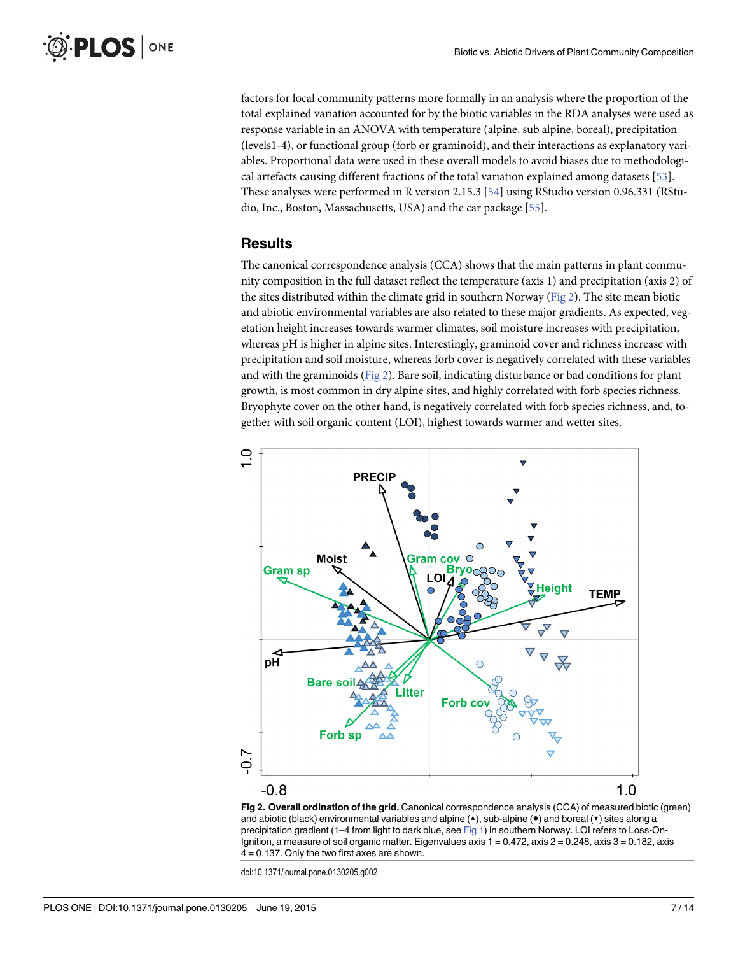<span id="page-6-0"></span>factors for local community patterns more formally in an analysis where the proportion of the total explained variation accounted for by the biotic variables in the RDA analyses were used as response variable in an ANOVA with temperature (alpine, sub alpine, boreal), precipitation (levels1-4), or functional group (forb or graminoid), and their interactions as explanatory variables. Proportional data were used in these overall models to avoid biases due to methodological artefacts causing different fractions of the total variation explained among datasets [[53](#page-13-0)]. These analyses were performed in R version 2.15.3 [[54\]](#page-13-0) using RStudio version 0.96.331 (RStudio, Inc., Boston, Massachusetts, USA) and the car package [[55](#page-13-0)].

#### **Results**

The canonical correspondence analysis (CCA) shows that the main patterns in plant community composition in the full dataset reflect the temperature (axis 1) and precipitation (axis 2) of the sites distributed within the climate grid in southern Norway ( $Fig 2$ ). The site mean biotic and abiotic environmental variables are also related to these major gradients. As expected, vegetation height increases towards warmer climates, soil moisture increases with precipitation, whereas pH is higher in alpine sites. Interestingly, graminoid cover and richness increase with precipitation and soil moisture, whereas forb cover is negatively correlated with these variables and with the graminoids (Fig 2). Bare soil, indicating disturbance or bad conditions for plant growth, is most common in dry alpine sites, and highly correlated with forb species richness. Bryophyte cover on the other hand, is negatively correlated with forb species richness, and, together with soil organic content (LOI), highest towards warmer and wetter sites.



Fig 2. Overall ordination of the grid. Canonical correspondence analysis (CCA) of measured biotic (green) and abiotic (black) environmental variables and alpine (▲), sub-alpine (●) and boreal (▼) sites along a precipitation gradient (1–4 from light to dark blue, see [Fig 1\)](#page-3-0) in southern Norway. LOI refers to Loss-On-Ignition, a measure of soil organic matter. Eigenvalues axis  $1 = 0.472$ , axis  $2 = 0.248$ , axis  $3 = 0.182$ , axis  $4 = 0.137$ . Only the two first axes are shown.

doi:10.1371/journal.pone.0130205.g002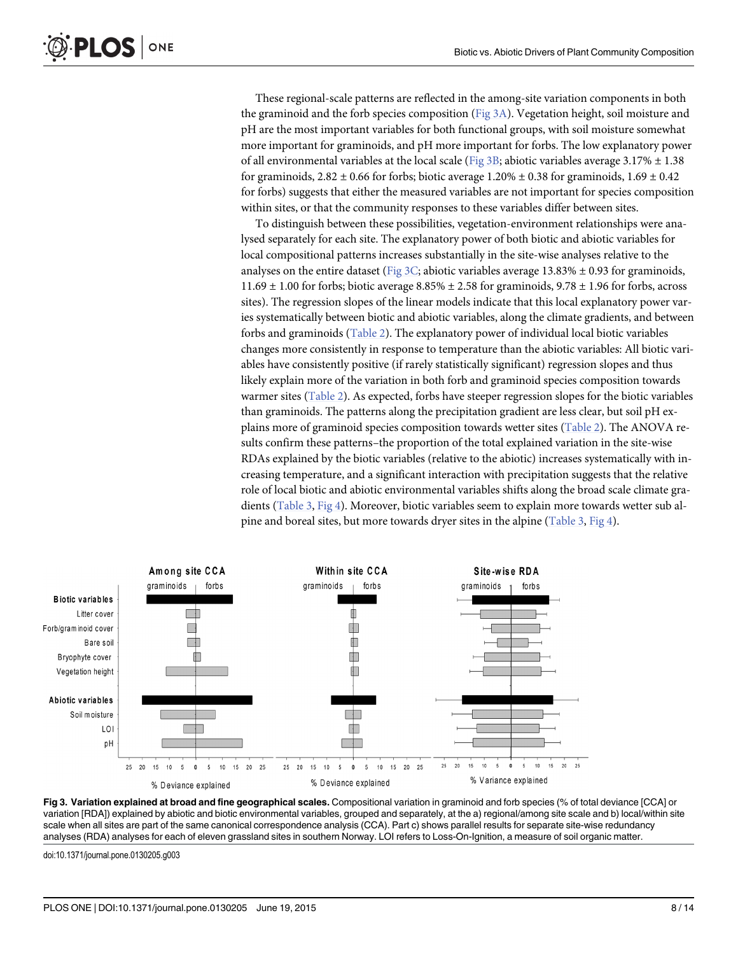These regional-scale patterns are reflected in the among-site variation components in both the graminoid and the forb species composition (Fig 3A). Vegetation height, soil moisture and pH are the most important variables for both functional groups, with soil moisture somewhat more important for graminoids, and pH more important for forbs. The low explanatory power of all environmental variables at the local scale (Fig 3B; abiotic variables average  $3.17\% \pm 1.38$ ) for graminoids,  $2.82 \pm 0.66$  for forbs; biotic average  $1.20\% \pm 0.38$  for graminoids,  $1.69 \pm 0.42$ for forbs) suggests that either the measured variables are not important for species composition within sites, or that the community responses to these variables differ between sites.

To distinguish between these possibilities, vegetation-environment relationships were analysed separately for each site. The explanatory power of both biotic and abiotic variables for local compositional patterns increases substantially in the site-wise analyses relative to the analyses on the entire dataset (Fig 3C; abiotic variables average 13.83%  $\pm$  0.93 for graminoids,  $11.69 \pm 1.00$  for forbs; biotic average  $8.85\% \pm 2.58$  for graminoids,  $9.78 \pm 1.96$  for forbs, across sites). The regression slopes of the linear models indicate that this local explanatory power varies systematically between biotic and abiotic variables, along the climate gradients, and between forbs and graminoids ([Table 2\)](#page-8-0). The explanatory power of individual local biotic variables changes more consistently in response to temperature than the abiotic variables: All biotic variables have consistently positive (if rarely statistically significant) regression slopes and thus likely explain more of the variation in both forb and graminoid species composition towards warmer sites ([Table 2\)](#page-8-0). As expected, forbs have steeper regression slopes for the biotic variables than graminoids. The patterns along the precipitation gradient are less clear, but soil pH explains more of graminoid species composition towards wetter sites ([Table 2\)](#page-8-0). The ANOVA results confirm these patterns–the proportion of the total explained variation in the site-wise RDAs explained by the biotic variables (relative to the abiotic) increases systematically with increasing temperature, and a significant interaction with precipitation suggests that the relative role of local biotic and abiotic environmental variables shifts along the broad scale climate gradients ([Table 3,](#page-8-0) [Fig 4\)](#page-9-0). Moreover, biotic variables seem to explain more towards wetter sub al-pine and boreal sites, but more towards dryer sites in the alpine [\(Table 3,](#page-8-0) [Fig 4](#page-9-0)).



Fig 3. Variation explained at broad and fine geographical scales. Compositional variation in graminoid and forb species (% of total deviance [CCA] or variation [RDA]) explained by abiotic and biotic environmental variables, grouped and separately, at the a) regional/among site scale and b) local/within site scale when all sites are part of the same canonical correspondence analysis (CCA). Part c) shows parallel results for separate site-wise redundancy analyses (RDA) analyses for each of eleven grassland sites in southern Norway. LOI refers to Loss-On-Ignition, a measure of soil organic matter.

doi:10.1371/journal.pone.0130205.g003

<span id="page-7-0"></span>PLOS ONE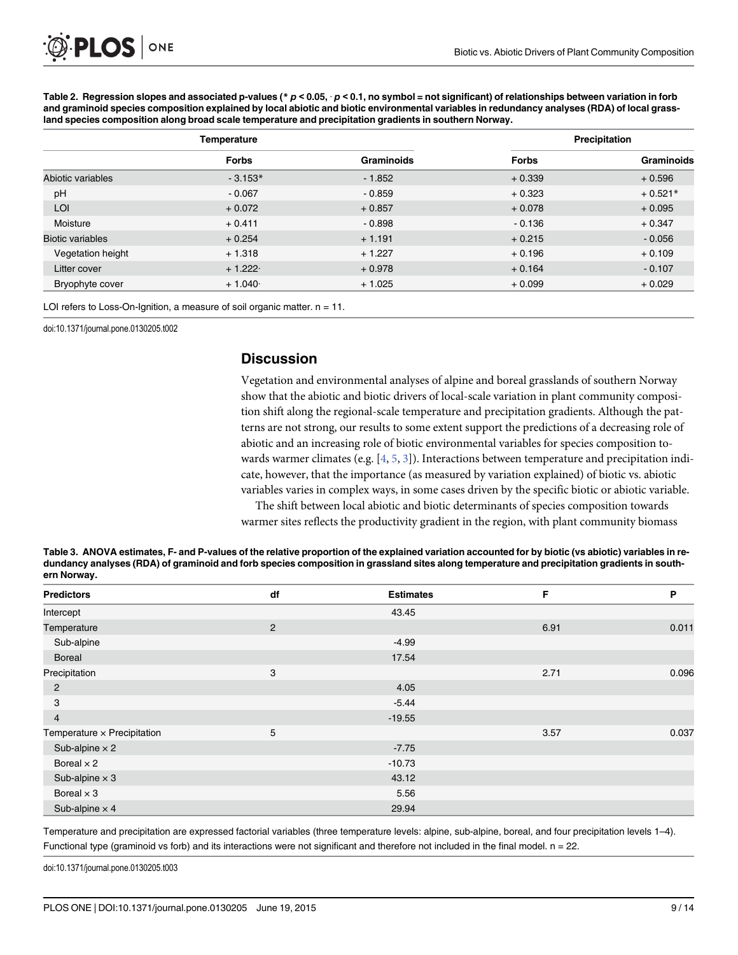|                         | Temperature  |            | Precipitation |            |  |
|-------------------------|--------------|------------|---------------|------------|--|
|                         | <b>Forbs</b> | Graminoids | <b>Forbs</b>  | Graminoids |  |
| Abiotic variables       | $-3.153*$    | $-1.852$   | $+0.339$      | $+0.596$   |  |
| pH                      | $-0.067$     | $-0.859$   | $+0.323$      | $+0.521*$  |  |
| LOI                     | $+0.072$     | $+0.857$   | $+0.078$      | $+0.095$   |  |
| Moisture                | $+0.411$     | $-0.898$   | $-0.136$      | $+0.347$   |  |
| <b>Biotic variables</b> | $+0.254$     | $+1.191$   | $+0.215$      | $-0.056$   |  |
| Vegetation height       | $+1.318$     | $+1.227$   | $+0.196$      | $+0.109$   |  |
| Litter cover            | $+1.222$     | $+0.978$   | $+0.164$      | $-0.107$   |  |
| Bryophyte cover         | $+1.040$     | $+1.025$   | $+0.099$      | $+0.029$   |  |

<span id="page-8-0"></span>[Table 2.](#page-7-0) Regression slopes and associated p-values (\*  $p < 0.05$ ,  $p < 0.1$ , no symbol = not significant) of relationships between variation in forb and graminoid species composition explained by local abiotic and biotic environmental variables in redundancy analyses (RDA) of local grassland species composition along broad scale temperature and precipitation gradients in southern Norway.

LOI refers to Loss-On-Ignition, a measure of soil organic matter.  $n = 11$ .

doi:10.1371/journal.pone.0130205.t002

#### **Discussion**

Vegetation and environmental analyses of alpine and boreal grasslands of southern Norway show that the abiotic and biotic drivers of local-scale variation in plant community composition shift along the regional-scale temperature and precipitation gradients. Although the patterns are not strong, our results to some extent support the predictions of a decreasing role of abiotic and an increasing role of biotic environmental variables for species composition towards warmer climates (e.g.  $[4, 5, 3]$  $[4, 5, 3]$  $[4, 5, 3]$  $[4, 5, 3]$  $[4, 5, 3]$  $[4, 5, 3]$ ). Interactions between temperature and precipitation indicate, however, that the importance (as measured by variation explained) of biotic vs. abiotic variables varies in complex ways, in some cases driven by the specific biotic or abiotic variable.

The shift between local abiotic and biotic determinants of species composition towards warmer sites reflects the productivity gradient in the region, with plant community biomass

| Property of the state of the contract of                                                                                                     |                                                                                                                                                       |  |
|----------------------------------------------------------------------------------------------------------------------------------------------|-------------------------------------------------------------------------------------------------------------------------------------------------------|--|
| ern Norway.                                                                                                                                  |                                                                                                                                                       |  |
| dundancy analyses (RDA) of graminoid and forb species composition in grassland sites along temperature and precipitation gradients in south- |                                                                                                                                                       |  |
|                                                                                                                                              | Table 3. ANOVA estimates, F- and P-values of the relative proportion of the explained variation accounted for by biotic (vs abiotic) variables in re- |  |

| <b>Predictors</b>           | df             | <b>Estimates</b> | F    | P     |
|-----------------------------|----------------|------------------|------|-------|
| Intercept                   |                | 43.45            |      |       |
| Temperature                 | $\overline{2}$ |                  | 6.91 | 0.011 |
| Sub-alpine                  |                | $-4.99$          |      |       |
| <b>Boreal</b>               |                | 17.54            |      |       |
| Precipitation               | 3              |                  | 2.71 | 0.096 |
| $\overline{2}$              |                | 4.05             |      |       |
| 3                           |                | $-5.44$          |      |       |
| $\overline{4}$              |                | $-19.55$         |      |       |
| Temperature x Precipitation | 5              |                  | 3.57 | 0.037 |
| Sub-alpine $\times$ 2       |                | $-7.75$          |      |       |
| Boreal $\times$ 2           |                | $-10.73$         |      |       |
| Sub-alpine $\times$ 3       |                | 43.12            |      |       |
| Boreal $\times$ 3           |                | 5.56             |      |       |
| Sub-alpine $\times$ 4       |                | 29.94            |      |       |

Temperature and precipitation are expressed factorial variables (three temperature levels: alpine, sub-alpine, boreal, and four precipitation levels 1–4). Functional type (graminoid vs forb) and its interactions were not significant and therefore not included in the final model.  $n = 22$ .

doi:10.1371/journal.pone.0130205.t003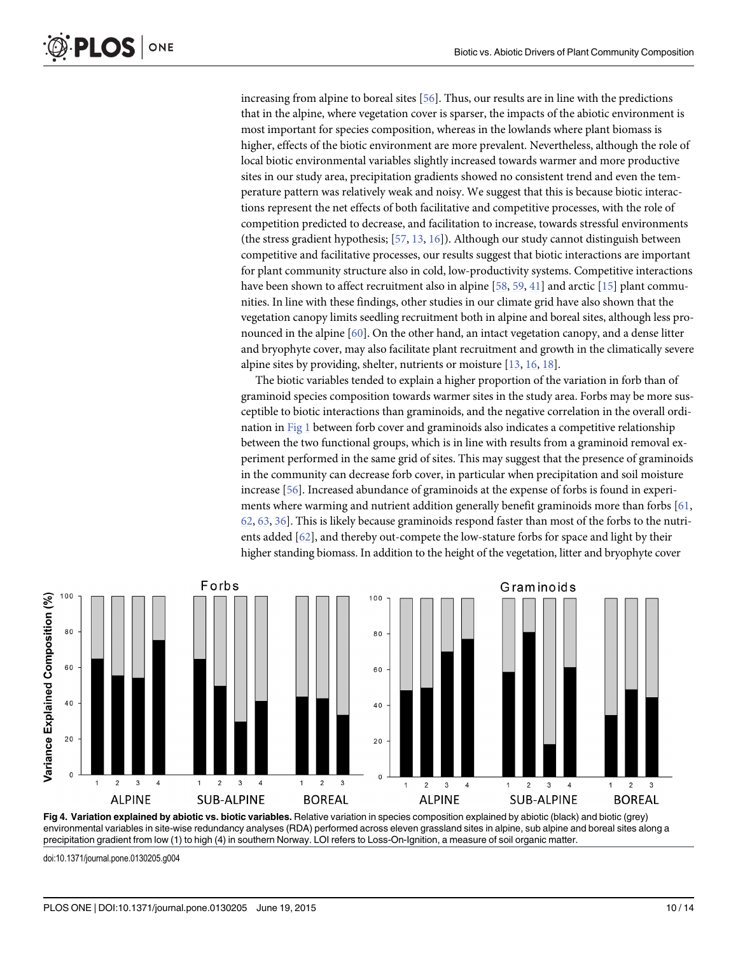<span id="page-9-0"></span>increasing from alpine to boreal sites [\[56\]](#page-13-0). Thus, our results are in line with the predictions that in the alpine, where vegetation cover is sparser, the impacts of the abiotic environment is most important for species composition, whereas in the lowlands where plant biomass is higher, effects of the biotic environment are more prevalent. Nevertheless, although the role of local biotic environmental variables slightly increased towards warmer and more productive sites in our study area, precipitation gradients showed no consistent trend and even the temperature pattern was relatively weak and noisy. We suggest that this is because biotic interactions represent the net effects of both facilitative and competitive processes, with the role of competition predicted to decrease, and facilitation to increase, towards stressful environments (the stress gradient hypothesis; [[57](#page-13-0), [13](#page-11-0), [16](#page-11-0)]). Although our study cannot distinguish between competitive and facilitative processes, our results suggest that biotic interactions are important for plant community structure also in cold, low-productivity systems. Competitive interactions have been shown to affect recruitment also in alpine [\[58,](#page-13-0) [59,](#page-13-0) [41\]](#page-12-0) and arctic [\[15\]](#page-11-0) plant communities. In line with these findings, other studies in our climate grid have also shown that the vegetation canopy limits seedling recruitment both in alpine and boreal sites, although less pronounced in the alpine [[60](#page-13-0)]. On the other hand, an intact vegetation canopy, and a dense litter and bryophyte cover, may also facilitate plant recruitment and growth in the climatically severe alpine sites by providing, shelter, nutrients or moisture  $[13, 16, 18]$  $[13, 16, 18]$  $[13, 16, 18]$  $[13, 16, 18]$  $[13, 16, 18]$ .

The biotic variables tended to explain a higher proportion of the variation in forb than of graminoid species composition towards warmer sites in the study area. Forbs may be more susceptible to biotic interactions than graminoids, and the negative correlation in the overall ordination in [Fig 1](#page-3-0) between forb cover and graminoids also indicates a competitive relationship between the two functional groups, which is in line with results from a graminoid removal experiment performed in the same grid of sites. This may suggest that the presence of graminoids in the community can decrease forb cover, in particular when precipitation and soil moisture increase [[56](#page-13-0)]. Increased abundance of graminoids at the expense of forbs is found in experiments where warming and nutrient addition generally benefit graminoids more than forbs [[61](#page-13-0), [62,](#page-13-0) [63,](#page-13-0) [36\]](#page-12-0). This is likely because graminoids respond faster than most of the forbs to the nutrients added [\[62\]](#page-13-0), and thereby out-compete the low-stature forbs for space and light by their higher standing biomass. In addition to the height of the vegetation, litter and bryophyte cover



[Fig 4. V](#page-7-0)ariation explained by abiotic vs. biotic variables. Relative variation in species composition explained by abiotic (black) and biotic (grey) environmental variables in site-wise redundancy analyses (RDA) performed across eleven grassland sites in alpine, sub alpine and boreal sites along a precipitation gradient from low (1) to high (4) in southern Norway. LOI refers to Loss-On-Ignition, a measure of soil organic matter.

doi:10.1371/journal.pone.0130205.g004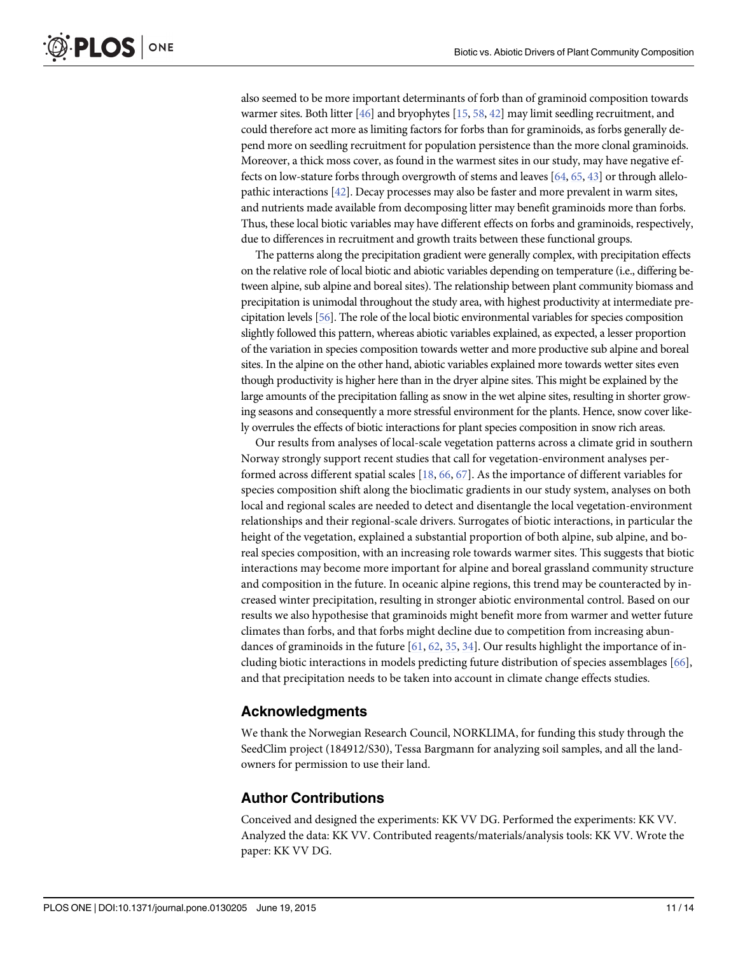<span id="page-10-0"></span>also seemed to be more important determinants of forb than of graminoid composition towards warmer sites. Both litter [\[46\]](#page-12-0) and bryophytes [[15](#page-11-0), [58,](#page-13-0) [42\]](#page-12-0) may limit seedling recruitment, and could therefore act more as limiting factors for forbs than for graminoids, as forbs generally depend more on seedling recruitment for population persistence than the more clonal graminoids. Moreover, a thick moss cover, as found in the warmest sites in our study, may have negative effects on low-stature forbs through overgrowth of stems and leaves  $[64, 65, 43]$  $[64, 65, 43]$  $[64, 65, 43]$  $[64, 65, 43]$  $[64, 65, 43]$  or through allelopathic interactions [[42](#page-12-0)]. Decay processes may also be faster and more prevalent in warm sites, and nutrients made available from decomposing litter may benefit graminoids more than forbs. Thus, these local biotic variables may have different effects on forbs and graminoids, respectively, due to differences in recruitment and growth traits between these functional groups.

The patterns along the precipitation gradient were generally complex, with precipitation effects on the relative role of local biotic and abiotic variables depending on temperature (i.e., differing between alpine, sub alpine and boreal sites). The relationship between plant community biomass and precipitation is unimodal throughout the study area, with highest productivity at intermediate precipitation levels [[56\]](#page-13-0). The role of the local biotic environmental variables for species composition slightly followed this pattern, whereas abiotic variables explained, as expected, a lesser proportion of the variation in species composition towards wetter and more productive sub alpine and boreal sites. In the alpine on the other hand, abiotic variables explained more towards wetter sites even though productivity is higher here than in the dryer alpine sites. This might be explained by the large amounts of the precipitation falling as snow in the wet alpine sites, resulting in shorter growing seasons and consequently a more stressful environment for the plants. Hence, snow cover likely overrules the effects of biotic interactions for plant species composition in snow rich areas.

Our results from analyses of local-scale vegetation patterns across a climate grid in southern Norway strongly support recent studies that call for vegetation-environment analyses performed across different spatial scales [\[18](#page-11-0), [66](#page-13-0), [67\]](#page-13-0). As the importance of different variables for species composition shift along the bioclimatic gradients in our study system, analyses on both local and regional scales are needed to detect and disentangle the local vegetation-environment relationships and their regional-scale drivers. Surrogates of biotic interactions, in particular the height of the vegetation, explained a substantial proportion of both alpine, sub alpine, and boreal species composition, with an increasing role towards warmer sites. This suggests that biotic interactions may become more important for alpine and boreal grassland community structure and composition in the future. In oceanic alpine regions, this trend may be counteracted by increased winter precipitation, resulting in stronger abiotic environmental control. Based on our results we also hypothesise that graminoids might benefit more from warmer and wetter future climates than forbs, and that forbs might decline due to competition from increasing abundances of graminoids in the future  $[61, 62, 35, 34]$  $[61, 62, 35, 34]$  $[61, 62, 35, 34]$  $[61, 62, 35, 34]$  $[61, 62, 35, 34]$  $[61, 62, 35, 34]$  $[61, 62, 35, 34]$  $[61, 62, 35, 34]$  $[61, 62, 35, 34]$ . Our results highlight the importance of including biotic interactions in models predicting future distribution of species assemblages [\[66\]](#page-13-0), and that precipitation needs to be taken into account in climate change effects studies.

## Acknowledgments

We thank the Norwegian Research Council, NORKLIMA, for funding this study through the SeedClim project (184912/S30), Tessa Bargmann for analyzing soil samples, and all the landowners for permission to use their land.

## Author Contributions

Conceived and designed the experiments: KK VV DG. Performed the experiments: KK VV. Analyzed the data: KK VV. Contributed reagents/materials/analysis tools: KK VV. Wrote the paper: KK VV DG.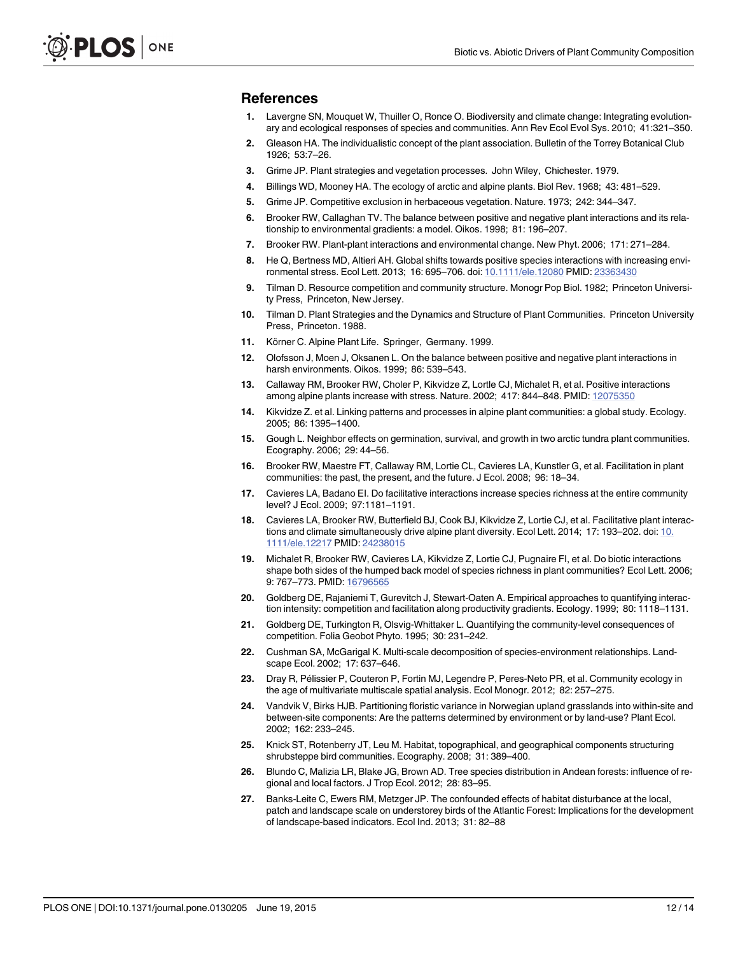#### <span id="page-11-0"></span>References

- [1.](#page-0-0) Lavergne SN, Mouquet W, Thuiller O, Ronce O. Biodiversity and climate change: Integrating evolutionary and ecological responses of species and communities. Ann Rev Ecol Evol Sys. 2010; 41:321–350.
- [2.](#page-1-0) Gleason HA. The individualistic concept of the plant association. Bulletin of the Torrey Botanical Club 1926; 53:7–26.
- [3.](#page-1-0) Grime JP. Plant strategies and vegetation processes. John Wiley, Chichester. 1979.
- [4.](#page-1-0) Billings WD, Mooney HA. The ecology of arctic and alpine plants. Biol Rev. 1968; 43: 481–529.
- [5.](#page-1-0) Grime JP. Competitive exclusion in herbaceous vegetation. Nature. 1973; 242: 344–347.
- [6.](#page-1-0) Brooker RW, Callaghan TV. The balance between positive and negative plant interactions and its relationship to environmental gradients: a model. Oikos. 1998; 81: 196–207.
- [7.](#page-1-0) Brooker RW. Plant-plant interactions and environmental change. New Phyt. 2006; 171: 271–284.
- [8.](#page-1-0) He Q, Bertness MD, Altieri AH. Global shifts towards positive species interactions with increasing environmental stress. Ecol Lett. 2013; 16: 695–706. doi: [10.1111/ele.12080](http://dx.doi.org/10.1111/ele.12080) PMID: [23363430](http://www.ncbi.nlm.nih.gov/pubmed/23363430)
- [9.](#page-1-0) Tilman D. Resource competition and community structure. Monogr Pop Biol. 1982; Princeton University Press, Princeton, New Jersey.
- [10.](#page-1-0) Tilman D. Plant Strategies and the Dynamics and Structure of Plant Communities. Princeton University Press, Princeton. 1988.
- [11.](#page-1-0) Körner C. Alpine Plant Life. Springer, Germany. 1999.
- [12.](#page-1-0) Olofsson J, Moen J, Oksanen L. On the balance between positive and negative plant interactions in harsh environments. Oikos. 1999; 86: 539–543.
- [13.](#page-1-0) Callaway RM, Brooker RW, Choler P, Kikvidze Z, Lortle CJ, Michalet R, et al. Positive interactions among alpine plants increase with stress. Nature. 2002; 417: 844-848. PMID: [12075350](http://www.ncbi.nlm.nih.gov/pubmed/12075350)
- [14.](#page-1-0) Kikvidze Z. et al. Linking patterns and processes in alpine plant communities: a global study. Ecology. 2005; 86: 1395–1400.
- [15.](#page-1-0) Gough L. Neighbor effects on germination, survival, and growth in two arctic tundra plant communities. Ecography. 2006; 29: 44–56.
- [16.](#page-1-0) Brooker RW, Maestre FT, Callaway RM, Lortie CL, Cavieres LA, Kunstler G, et al. Facilitation in plant communities: the past, the present, and the future. J Ecol. 2008; 96: 18–34.
- [17.](#page-1-0) Cavieres LA, Badano EI. Do facilitative interactions increase species richness at the entire community level? J Ecol. 2009; 97:1181–1191.
- [18.](#page-1-0) Cavieres LA, Brooker RW, Butterfield BJ, Cook BJ, Kikvidze Z, Lortie CJ, et al. Facilitative plant interactions and climate simultaneously drive alpine plant diversity. Ecol Lett. 2014; 17: 193–202. doi: [10.](http://dx.doi.org/10.1111/ele.12217) [1111/ele.12217](http://dx.doi.org/10.1111/ele.12217) PMID: [24238015](http://www.ncbi.nlm.nih.gov/pubmed/24238015)
- [19.](#page-1-0) Michalet R, Brooker RW, Cavieres LA, Kikvidze Z, Lortie CJ, Pugnaire FI, et al. Do biotic interactions shape both sides of the humped back model of species richness in plant communities? Ecol Lett. 2006; 9: 767–773. PMID: [16796565](http://www.ncbi.nlm.nih.gov/pubmed/16796565)
- [20.](#page-1-0) Goldberg DE, Rajaniemi T, Gurevitch J, Stewart-Oaten A. Empirical approaches to quantifying interaction intensity: competition and facilitation along productivity gradients. Ecology. 1999; 80: 1118–1131.
- [21.](#page-1-0) Goldberg DE, Turkington R, Olsvig-Whittaker L. Quantifying the community-level consequences of competition. Folia Geobot Phyto. 1995; 30: 231–242.
- [22.](#page-1-0) Cushman SA, McGarigal K. Multi-scale decomposition of species-environment relationships. Landscape Ecol. 2002; 17: 637–646.
- [23.](#page-1-0) Dray R, Pélissier P, Couteron P, Fortin MJ, Legendre P, Peres-Neto PR, et al. Community ecology in the age of multivariate multiscale spatial analysis. Ecol Monogr. 2012; 82: 257–275.
- [24.](#page-1-0) Vandvik V, Birks HJB. Partitioning floristic variance in Norwegian upland grasslands into within-site and between-site components: Are the patterns determined by environment or by land-use? Plant Ecol. 2002; 162: 233–245.
- [25.](#page-1-0) Knick ST, Rotenberry JT, Leu M. Habitat, topographical, and geographical components structuring shrubsteppe bird communities. Ecography. 2008; 31: 389–400.
- [26.](#page-1-0) Blundo C, Malizia LR, Blake JG, Brown AD. Tree species distribution in Andean forests: influence of regional and local factors. J Trop Ecol. 2012; 28: 83–95.
- Banks-Leite C, Ewers RM, Metzger JP. The confounded effects of habitat disturbance at the local, patch and landscape scale on understorey birds of the Atlantic Forest: Implications for the development of landscape-based indicators. Ecol Ind. 2013; 31: 82–88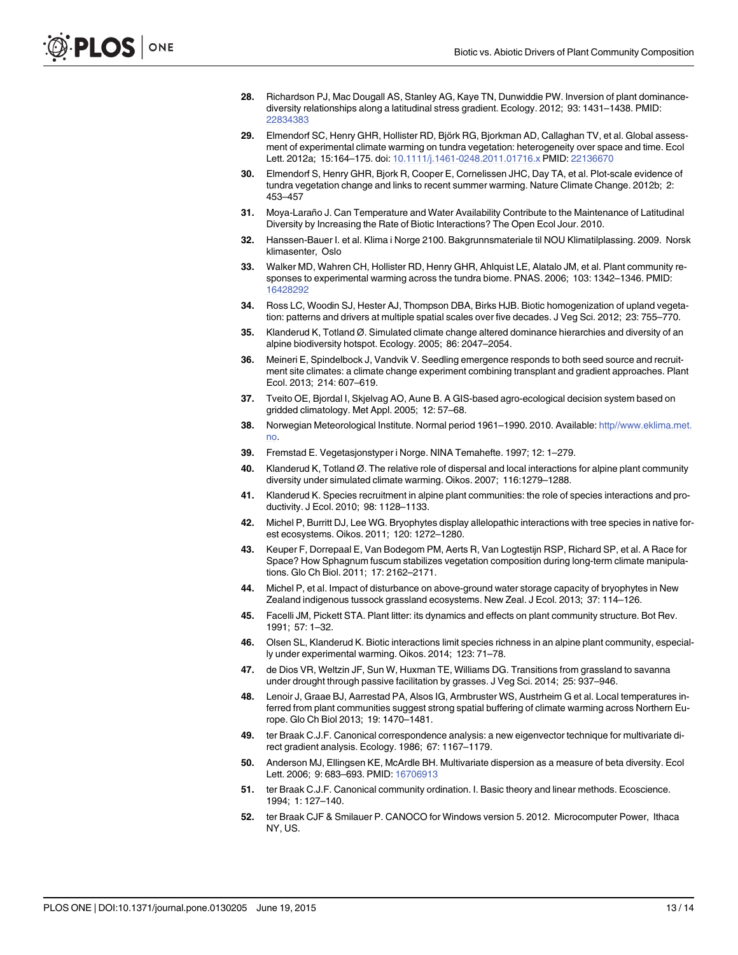- <span id="page-12-0"></span>[28.](#page-1-0) Richardson PJ, Mac Dougall AS, Stanley AG, Kaye TN, Dunwiddie PW. Inversion of plant dominancediversity relationships along a latitudinal stress gradient. Ecology. 2012; 93: 1431–1438. PMID: [22834383](http://www.ncbi.nlm.nih.gov/pubmed/22834383)
- [29.](#page-2-0) Elmendorf SC, Henry GHR, Hollister RD, Björk RG, Bjorkman AD, Callaghan TV, et al. Global assessment of experimental climate warming on tundra vegetation: heterogeneity over space and time. Ecol Lett. 2012a; 15:164-175. doi: [10.1111/j.1461-0248.2011.01716.x](http://dx.doi.org/10.1111/j.1461-0248.2011.01716.x) PMID: [22136670](http://www.ncbi.nlm.nih.gov/pubmed/22136670)
- [30.](#page-2-0) Elmendorf S, Henry GHR, Bjork R, Cooper E, Cornelissen JHC, Day TA, et al. Plot-scale evidence of tundra vegetation change and links to recent summer warming. Nature Climate Change. 2012b; 2: 453–457
- [31.](#page-2-0) Moya-Laraño J. Can Temperature and Water Availability Contribute to the Maintenance of Latitudinal Diversity by Increasing the Rate of Biotic Interactions? The Open Ecol Jour. 2010.
- [32.](#page-2-0) Hanssen-Bauer I. et al. Klima i Norge 2100. Bakgrunnsmateriale til NOU Klimatilplassing. 2009. Norsk klimasenter, Oslo
- [33.](#page-2-0) Walker MD, Wahren CH, Hollister RD, Henry GHR, Ahlquist LE, Alatalo JM, et al. Plant community responses to experimental warming across the tundra biome. PNAS. 2006; 103: 1342–1346. PMID: [16428292](http://www.ncbi.nlm.nih.gov/pubmed/16428292)
- [34.](#page-2-0) Ross LC, Woodin SJ, Hester AJ, Thompson DBA, Birks HJB. Biotic homogenization of upland vegetation: patterns and drivers at multiple spatial scales over five decades. J Veg Sci. 2012; 23: 755–770.
- [35.](#page-2-0) Klanderud K, Totland Ø. Simulated climate change altered dominance hierarchies and diversity of an alpine biodiversity hotspot. Ecology. 2005; 86: 2047–2054.
- [36.](#page-2-0) Meineri E, Spindelbock J, Vandvik V. Seedling emergence responds to both seed source and recruitment site climates: a climate change experiment combining transplant and gradient approaches. Plant Ecol. 2013; 214: 607–619.
- [37.](#page-2-0) Tveito OE, Bjordal I, Skjelvag AO, Aune B. A GIS-based agro-ecological decision system based on gridded climatology. Met Appl. 2005; 12: 57–68.
- [38.](#page-2-0) Norwegian Meteorological Institute. Normal period 1961–1990. 2010. Available: [http//www.eklima.met.](http://www.eklima.met.no) [no.](http://www.eklima.met.no)
- [39.](#page-4-0) Fremstad E. Vegetasjonstyper i Norge. NINA Temahefte. 1997; 12: 1–279.
- [40.](#page-4-0) Klanderud K, Totland Ø. The relative role of dispersal and local interactions for alpine plant community diversity under simulated climate warming. Oikos. 2007; 116:1279–1288.
- [41.](#page-4-0) Klanderud K. Species recruitment in alpine plant communities: the role of species interactions and productivity. J Ecol. 2010; 98: 1128–1133.
- [42.](#page-4-0) Michel P, Burritt DJ, Lee WG. Bryophytes display allelopathic interactions with tree species in native forest ecosystems. Oikos. 2011; 120: 1272–1280.
- [43.](#page-4-0) Keuper F, Dorrepaal E, Van Bodegom PM, Aerts R, Van Logtestijn RSP, Richard SP, et al. A Race for Space? How Sphagnum fuscum stabilizes vegetation composition during long-term climate manipulations. Glo Ch Biol. 2011; 17: 2162–2171.
- [44.](#page-4-0) Michel P, et al. Impact of disturbance on above-ground water storage capacity of bryophytes in New Zealand indigenous tussock grassland ecosystems. New Zeal. J Ecol. 2013; 37: 114–126.
- [45.](#page-4-0) Facelli JM, Pickett STA. Plant litter: its dynamics and effects on plant community structure. Bot Rev. 1991; 57: 1–32.
- [46.](#page-4-0) Olsen SL, Klanderud K. Biotic interactions limit species richness in an alpine plant community, especially under experimental warming. Oikos. 2014; 123: 71–78.
- [47.](#page-4-0) de Dios VR, Weltzin JF, Sun W, Huxman TE, Williams DG. Transitions from grassland to savanna under drought through passive facilitation by grasses. J Veg Sci. 2014; 25: 937–946.
- [48.](#page-4-0) Lenoir J, Graae BJ, Aarrestad PA, Alsos IG, Armbruster WS, Austrheim G et al. Local temperatures inferred from plant communities suggest strong spatial buffering of climate warming across Northern Europe. Glo Ch Biol 2013; 19: 1470–1481.
- [49.](#page-4-0) ter Braak C.J.F. Canonical correspondence analysis: a new eigenvector technique for multivariate direct gradient analysis. Ecology. 1986; 67: 1167–1179.
- [50.](#page-5-0) Anderson MJ, Ellingsen KE, McArdle BH. Multivariate dispersion as a measure of beta diversity. Ecol Lett. 2006; 9: 683-693. PMID: [16706913](http://www.ncbi.nlm.nih.gov/pubmed/16706913)
- [51.](#page-5-0) ter Braak C.J.F. Canonical community ordination. I. Basic theory and linear methods. Ecoscience. 1994; 1: 127–140.
- [52.](#page-5-0) ter Braak CJF & Smilauer P. CANOCO for Windows version 5. 2012. Microcomputer Power, Ithaca NY, US.